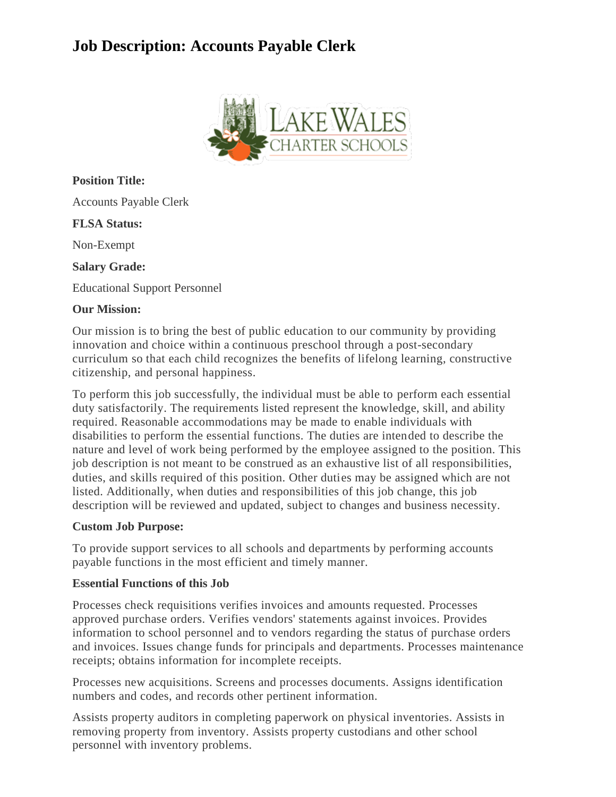# **Job Description: Accounts Payable Clerk**



**Position Title:**

Accounts Payable Clerk

**FLSA Status:**

Non-Exempt

**Salary Grade:**

Educational Support Personnel

## **Our Mission:**

Our mission is to bring the best of public education to our community by providing innovation and choice within a continuous preschool through a post-secondary curriculum so that each child recognizes the benefits of lifelong learning, constructive citizenship, and personal happiness.

To perform this job successfully, the individual must be able to perform each essential duty satisfactorily. The requirements listed represent the knowledge, skill, and ability required. Reasonable accommodations may be made to enable individuals with disabilities to perform the essential functions. The duties are intended to describe the nature and level of work being performed by the employee assigned to the position. This job description is not meant to be construed as an exhaustive list of all responsibilities, duties, and skills required of this position. Other duties may be assigned which are not listed. Additionally, when duties and responsibilities of this job change, this job description will be reviewed and updated, subject to changes and business necessity.

#### **Custom Job Purpose:**

To provide support services to all schools and departments by performing accounts payable functions in the most efficient and timely manner.

#### **Essential Functions of this Job**

Processes check requisitions verifies invoices and amounts requested. Processes approved purchase orders. Verifies vendors' statements against invoices. Provides information to school personnel and to vendors regarding the status of purchase orders and invoices. Issues change funds for principals and departments. Processes maintenance receipts; obtains information for incomplete receipts.

Processes new acquisitions. Screens and processes documents. Assigns identification numbers and codes, and records other pertinent information.

Assists property auditors in completing paperwork on physical inventories. Assists in removing property from inventory. Assists property custodians and other school personnel with inventory problems.